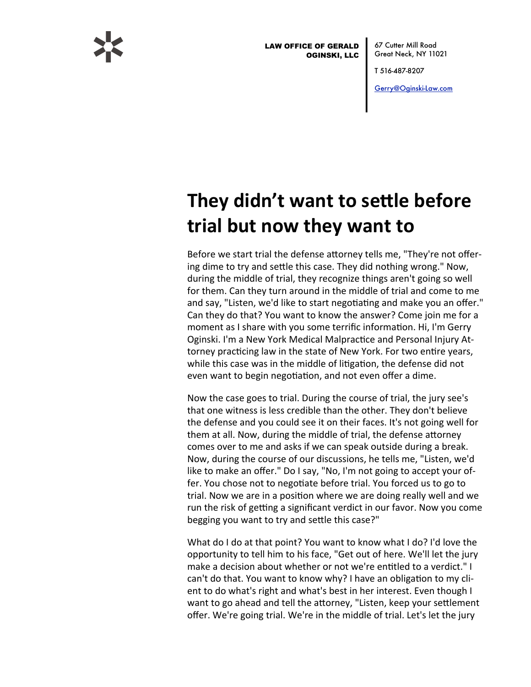

LAW OFFICE OF GERALD OGINSKI, LLC

67 Cutter Mill Road Great Neck, NY 11021

T 516-487-8207

[Gerry@Oginski-Law.com](mailto:Gerry@Oginski-Law.com)

## **They didn't want to settle before trial but now they want to**

Before we start trial the defense attorney tells me, "They're not offering dime to try and settle this case. They did nothing wrong." Now, during the middle of trial, they recognize things aren't going so well for them. Can they turn around in the middle of trial and come to me and say, "Listen, we'd like to start negotiating and make you an offer." Can they do that? You want to know the answer? Come join me for a moment as I share with you some terrific information. Hi, I'm Gerry Oginski. I'm a New York Medical Malpractice and Personal Injury Attorney practicing law in the state of New York. For two entire years, while this case was in the middle of litigation, the defense did not even want to begin negotiation, and not even offer a dime.

Now the case goes to trial. During the course of trial, the jury see's that one witness is less credible than the other. They don't believe the defense and you could see it on their faces. It's not going well for them at all. Now, during the middle of trial, the defense attorney comes over to me and asks if we can speak outside during a break. Now, during the course of our discussions, he tells me, "Listen, we'd like to make an offer." Do I say, "No, I'm not going to accept your offer. You chose not to negotiate before trial. You forced us to go to trial. Now we are in a position where we are doing really well and we run the risk of getting a significant verdict in our favor. Now you come begging you want to try and settle this case?"

What do I do at that point? You want to know what I do? I'd love the opportunity to tell him to his face, "Get out of here. We'll let the jury make a decision about whether or not we're entitled to a verdict." I can't do that. You want to know why? I have an obligation to my client to do what's right and what's best in her interest. Even though I want to go ahead and tell the attorney, "Listen, keep your settlement offer. We're going trial. We're in the middle of trial. Let's let the jury